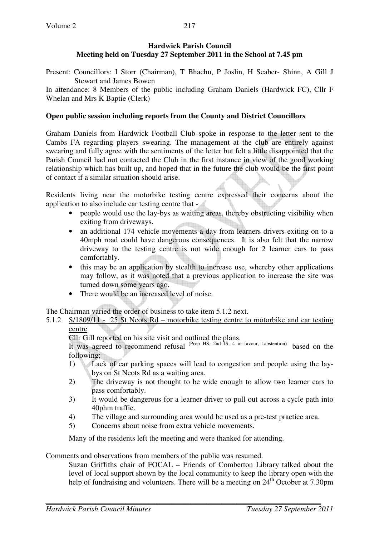# **Hardwick Parish Council Meeting held on Tuesday 27 September 2011 in the School at 7.45 pm**

Present: Councillors: I Storr (Chairman), T Bhachu, P Joslin, H Seaber- Shinn, A Gill J Stewart and James Bowen

In attendance: 8 Members of the public including Graham Daniels (Hardwick FC), Cllr F Whelan and Mrs K Baptie (Clerk)

# **Open public session including reports from the County and District Councillors**

Graham Daniels from Hardwick Football Club spoke in response to the letter sent to the Cambs FA regarding players swearing. The management at the club are entirely against swearing and fully agree with the sentiments of the letter but felt a little disappointed that the Parish Council had not contacted the Club in the first instance in view of the good working relationship which has built up, and hoped that in the future the club would be the first point of contact if a similar situation should arise.

Residents living near the motorbike testing centre expressed their concerns about the application to also include car testing centre that -

- people would use the lay-bys as waiting areas, thereby obstructing visibility when exiting from driveways.
- an additional 174 vehicle movements a day from learners drivers exiting on to a 40mph road could have dangerous consequences. It is also felt that the narrow driveway to the testing centre is not wide enough for 2 learner cars to pass comfortably.
- this may be an application by stealth to increase use, whereby other applications may follow, as it was noted that a previous application to increase the site was turned down some years ago.
- There would be an increased level of noise.

The Chairman varied the order of business to take item 5.1.2 next.

5.1.2 S/1809/11 - 25 St Neots Rd – motorbike testing centre to motorbike and car testing centre

Cllr Gill reported on his site visit and outlined the plans.

It was agreed to recommend refusal <sup>(Prop HS, 2nd JS, 4 in favour, 1abstention)</sup> based on the following;

- 1) Lack of car parking spaces will lead to congestion and people using the laybys on St Neots Rd as a waiting area.
- 2) The driveway is not thought to be wide enough to allow two learner cars to pass comfortably.
- 3) It would be dangerous for a learner driver to pull out across a cycle path into 40phm traffic.
- 4) The village and surrounding area would be used as a pre-test practice area.
- 5) Concerns about noise from extra vehicle movements.

Many of the residents left the meeting and were thanked for attending.

Comments and observations from members of the public was resumed.

Suzan Griffiths chair of FOCAL – Friends of Comberton Library talked about the level of local support shown by the local community to keep the library open with the help of fundraising and volunteers. There will be a meeting on  $24<sup>th</sup>$  October at 7.30pm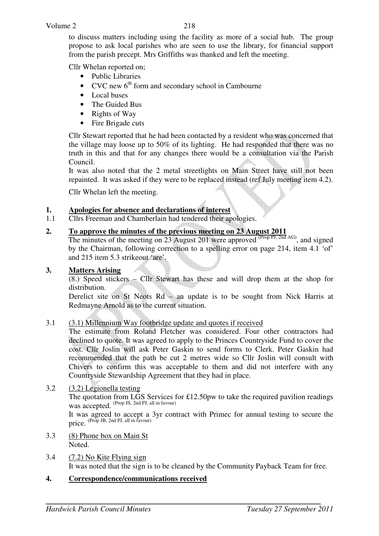to discuss matters including using the facility as more of a social hub. The group propose to ask local parishes who are seen to use the library, for financial support from the parish precept. Mrs Griffiths was thanked and left the meeting.

Cllr Whelan reported on;

- Public Libraries
- CVC new  $6<sup>th</sup>$  form and secondary school in Cambourne
- Local buses
- The Guided Bus
- Rights of Way
- Fire Brigade cuts

Cllr Stewart reported that he had been contacted by a resident who was concerned that the village may loose up to 50% of its lighting. He had responded that there was no truth in this and that for any changes there would be a consultation via the Parish Council.

It was also noted that the 2 metal streetlights on Main Street have still not been repainted. It was asked if they were to be replaced instead (ref July meeting item 4.2).

Cllr Whelan left the meeting.

## **1. Apologies for absence and declarations of interest**

1.1 Cllrs Freeman and Chamberlain had tendered their apologies.

## **2. To approve the minutes of the previous meeting on 23 August 2011**

The minutes of the meeting on 23 August 201 were approved  $^{(Prop\,PI, 2nd\,AG)}$ , and signed by the Chairman, following correction to a spelling error on page 214, item 4.1 'of' and 215 item 5.3 strikeout 'are'.

#### **3. Matters Arising**

 $(8.)$  Speed stickers – Cllr Stewart has these and will drop them at the shop for distribution.

Derelict site on St Neots Rd – an update is to be sought from Nick Harris at Redmayne Arnold as to the current situation.

#### 3.1 (3.1) Millennium Way footbridge update and quotes if received

The estimate from Roland Fletcher was considered. Four other contractors had declined to quote. It was agreed to apply to the Princes Country side Fund to cover the cost. Cllr Joslin will ask Peter Gaskin to send forms to Clerk. Peter Gaskin had recommended that the path be cut 2 metres wide so Cllr Joslin will consult with Chivers to confirm this was acceptable to them and did not interfere with any Countryside Stewardship Agreement that they had in place.

3.2 (3.2) Legionella testing The quotation from LGS Services for £12.50pw to take the required pavilion readings was accepted. (Prop JS, 2nd PJ, all in favour)

It was agreed to accept a 3yr contract with Primec for annual testing to secure the price. <sup>(Prop JB, 2nd PJ, all in favour)</sup>

- 3.3 (8) Phone box on Main St Noted.
- 3.4 (7.2) No Kite Flying sign It was noted that the sign is to be cleaned by the Community Payback Team for free.

#### **4. Correspondence/communications received**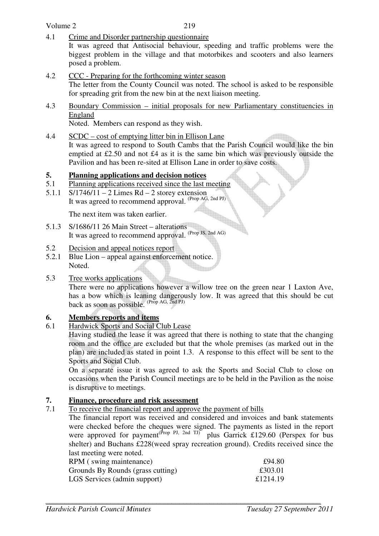Volume 2

4.1 Crime and Disorder partnership questionnaire

It was agreed that Antisocial behaviour, speeding and traffic problems were the biggest problem in the village and that motorbikes and scooters and also learners posed a problem.

- 4.2 CCC Preparing for the forthcoming winter season The letter from the County Council was noted. The school is asked to be responsible for spreading grit from the new bin at the next liaison meeting.
- 4.3 Boundary Commission initial proposals for new Parliamentary constituencies in England

Noted. Members can respond as they wish.

4.4 SCDC – cost of emptying litter bin in Ellison Lane

It was agreed to respond to South Cambs that the Parish Council would like the bin emptied at £2.50 and not £4 as it is the same bin which was previously outside the Pavilion and has been re-sited at Ellison Lane in order to save costs.

## **5. Planning applications and decision notices**

- 5.1 Planning applications received since the last meeting
- 5.1.1 S/1746/11 2 Limes Rd 2 storey extension It was agreed to recommend approval. (Prop AG, 2nd PJ)

The next item was taken earlier.

- 5.1.3 S/1686/11 26 Main Street alterations It was agreed to recommend approval. <sup>(Prop JS, 2nd AG)</sup>
- 5.2 Decision and appeal notices report
- 5.2.1 Blue Lion appeal against enforcement notice. Noted.
- 5.3 Tree works applications

 There were no applications however a willow tree on the green near 1 Laxton Ave, has a bow which is leaning dangerously low. It was agreed that this should be cut back as soon as possible. (Prop AG, 2nd PJ)

## **6. Members reports and items**

6.1 Hardwick Sports and Social Club Lease

Having studied the lease it was agreed that there is nothing to state that the changing room and the office are excluded but that the whole premises (as marked out in the plan) are included as stated in point 1.3. A response to this effect will be sent to the Sports and Social Club.

On a separate issue it was agreed to ask the Sports and Social Club to close on occasions when the Parish Council meetings are to be held in the Pavilion as the noise is disruptive to meetings.

## **7. Finance, procedure and risk assessment**

7.1 To receive the financial report and approve the payment of bills

The financial report was received and considered and invoices and bank statements were checked before the cheques were signed. The payments as listed in the report were approved for payment<sup>(Prop PJ, 2nd TJ)</sup> plus Garrick £129.60 (Perspex for bus shelter) and Buchans £228(weed spray recreation ground). Credits received since the last meeting were noted.

| RPM (swing maintenance)           | £94.80   |
|-----------------------------------|----------|
| Grounds By Rounds (grass cutting) | £303.01  |
| LGS Services (admin support)      | £1214.19 |